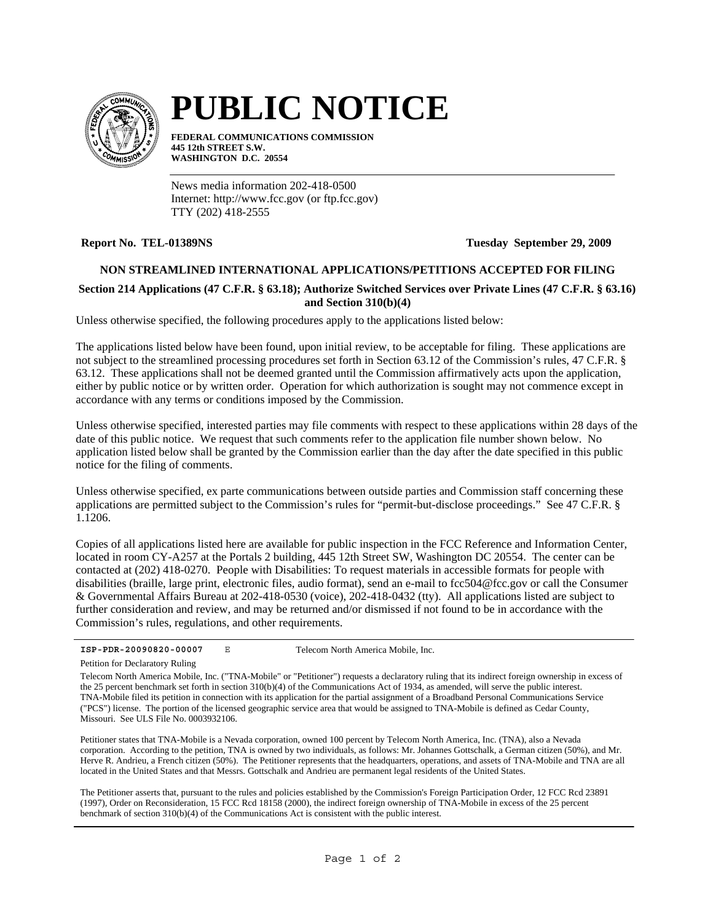

# **PUBLIC NOTICE**

**FEDERAL COMMUNICATIONS COMMISSION 445 12th STREET S.W. WASHINGTON D.C. 20554**

News media information 202-418-0500 Internet: http://www.fcc.gov (or ftp.fcc.gov) TTY (202) 418-2555

**Report No. TEL-01389NS Tuesday September 29, 2009**

## **NON STREAMLINED INTERNATIONAL APPLICATIONS/PETITIONS ACCEPTED FOR FILING**

## **Section 214 Applications (47 C.F.R. § 63.18); Authorize Switched Services over Private Lines (47 C.F.R. § 63.16) and Section 310(b)(4)**

Unless otherwise specified, the following procedures apply to the applications listed below:

The applications listed below have been found, upon initial review, to be acceptable for filing. These applications are not subject to the streamlined processing procedures set forth in Section 63.12 of the Commission's rules, 47 C.F.R. § 63.12. These applications shall not be deemed granted until the Commission affirmatively acts upon the application, either by public notice or by written order. Operation for which authorization is sought may not commence except in accordance with any terms or conditions imposed by the Commission.

Unless otherwise specified, interested parties may file comments with respect to these applications within 28 days of the date of this public notice. We request that such comments refer to the application file number shown below. No application listed below shall be granted by the Commission earlier than the day after the date specified in this public notice for the filing of comments.

Unless otherwise specified, ex parte communications between outside parties and Commission staff concerning these applications are permitted subject to the Commission's rules for "permit-but-disclose proceedings." See 47 C.F.R. § 1.1206.

Copies of all applications listed here are available for public inspection in the FCC Reference and Information Center, located in room CY-A257 at the Portals 2 building, 445 12th Street SW, Washington DC 20554. The center can be contacted at (202) 418-0270. People with Disabilities: To request materials in accessible formats for people with disabilities (braille, large print, electronic files, audio format), send an e-mail to fcc504@fcc.gov or call the Consumer & Governmental Affairs Bureau at 202-418-0530 (voice), 202-418-0432 (tty). All applications listed are subject to further consideration and review, and may be returned and/or dismissed if not found to be in accordance with the Commission's rules, regulations, and other requirements.

Petition for Declaratory Ruling

Petitioner states that TNA-Mobile is a Nevada corporation, owned 100 percent by Telecom North America, Inc. (TNA), also a Nevada corporation. According to the petition, TNA is owned by two individuals, as follows: Mr. Johannes Gottschalk, a German citizen (50%), and Mr. Herve R. Andrieu, a French citizen (50%). The Petitioner represents that the headquarters, operations, and assets of TNA-Mobile and TNA are all located in the United States and that Messrs. Gottschalk and Andrieu are permanent legal residents of the United States.

The Petitioner asserts that, pursuant to the rules and policies established by the Commission's Foreign Participation Order, 12 FCC Rcd 23891 (1997), Order on Reconsideration, 15 FCC Rcd 18158 (2000), the indirect foreign ownership of TNA-Mobile in excess of the 25 percent benchmark of section 310(b)(4) of the Communications Act is consistent with the public interest.

**ISP-PDR-20090820-00007** E Telecom North America Mobile, Inc.

Telecom North America Mobile, Inc. ("TNA-Mobile" or "Petitioner") requests a declaratory ruling that its indirect foreign ownership in excess of the 25 percent benchmark set forth in section 310(b)(4) of the Communications Act of 1934, as amended, will serve the public interest. TNA-Mobile filed its petition in connection with its application for the partial assignment of a Broadband Personal Communications Service ("PCS") license. The portion of the licensed geographic service area that would be assigned to TNA-Mobile is defined as Cedar County, Missouri. See ULS File No. 0003932106.